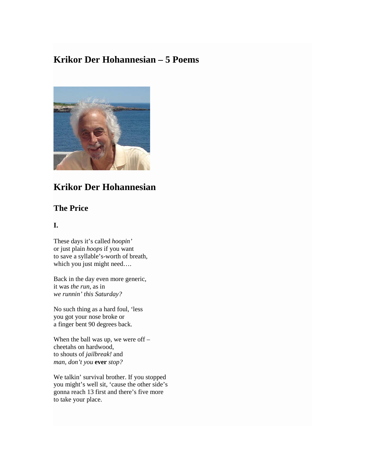# **Krikor Der Hohannesian – 5 Poems**



# **Krikor Der Hohannesian**

## **The Price**

#### **I.**

These days it's called *hoopin'* or just plain *hoops* if you want to save a syllable's-worth of breath, which you just might need....

Back in the day even more generic, it was *the run*, as in *we runnin' this Saturday?*

No such thing as a hard foul, 'less you got your nose broke or a finger bent 90 degrees back.

When the ball was up, we were off – cheetahs on hardwood, to shouts of *jailbreak!* and *man, don't you* **ever** *stop?*

We talkin' survival brother. If you stopped you might's well sit, 'cause the other side's gonna reach 13 first and there's five more to take your place.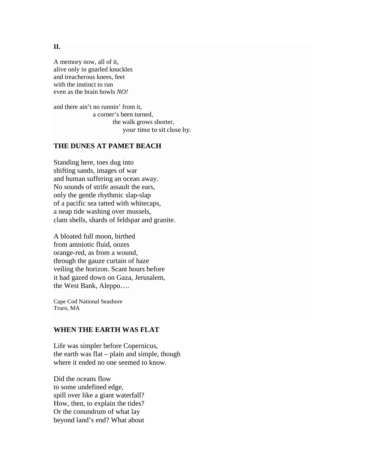#### A memory now, all of it, alive only in gnarled knuckles and treacherous knees, feet with the instinct to run even as the brain howls *NO!*

and there ain't no runnin' from it, a corner's been turned, the walk grows shorter, your time to sit close by.

### **THE DUNES AT PAMET BEACH**

Standing here, toes dug into shifting sands, images of war and human suffering an ocean away. No sounds of strife assault the ears, only the gentle rhythmic slap-slap of a pacific sea tatted with whitecaps, a neap tide washing over mussels, clam shells, shards of feldspar and granite.

A bloated full moon, birthed from amniotic fluid, oozes orange-red, as from a wound, through the gauze curtain of haze veiling the horizon. Scant hours before it had gazed down on Gaza, Jerusalem, the West Bank, Aleppo….

Cape Cod National Seashore Truro, MA

### **WHEN THE EARTH WAS FLAT**

Life was simpler before Copernicus, the earth was flat – plain and simple, though where it ended no one seemed to know.

Did the oceans flow to some undefined edge, spill over like a giant waterfall? How, then, to explain the tides? Or the conundrum of what lay beyond land's end? What about

#### **II.**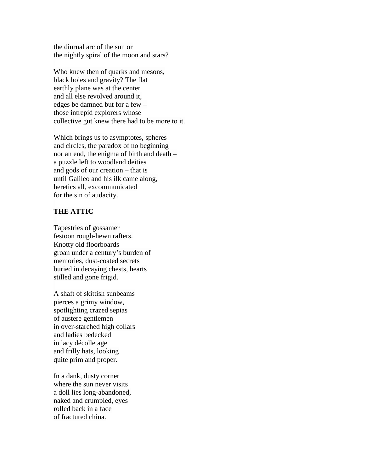the diurnal arc of the sun or the nightly spiral of the moon and stars?

Who knew then of quarks and mesons, black holes and gravity? The flat earthly plane was at the center and all else revolved around it, edges be damned but for a few – those intrepid explorers whose collective gut knew there had to be more to it.

Which brings us to asymptotes, spheres and circles, the paradox of no beginning nor an end, the enigma of birth and death – a puzzle left to woodland deities and gods of our creation – that is until Galileo and his ilk came along, heretics all, excommunicated for the sin of audacity.

#### **THE ATTIC**

Tapestries of gossamer festoon rough-hewn rafters. Knotty old floorboards groan under a century's burden of memories, dust-coated secrets buried in decaying chests, hearts stilled and gone frigid.

A shaft of skittish sunbeams pierces a grimy window, spotlighting crazed sepias of austere gentlemen in over-starched high collars and ladies bedecked in lacy décolletage and frilly hats, looking quite prim and proper.

In a dank, dusty corner where the sun never visits a doll lies long-abandoned, naked and crumpled, eyes rolled back in a face of fractured china.